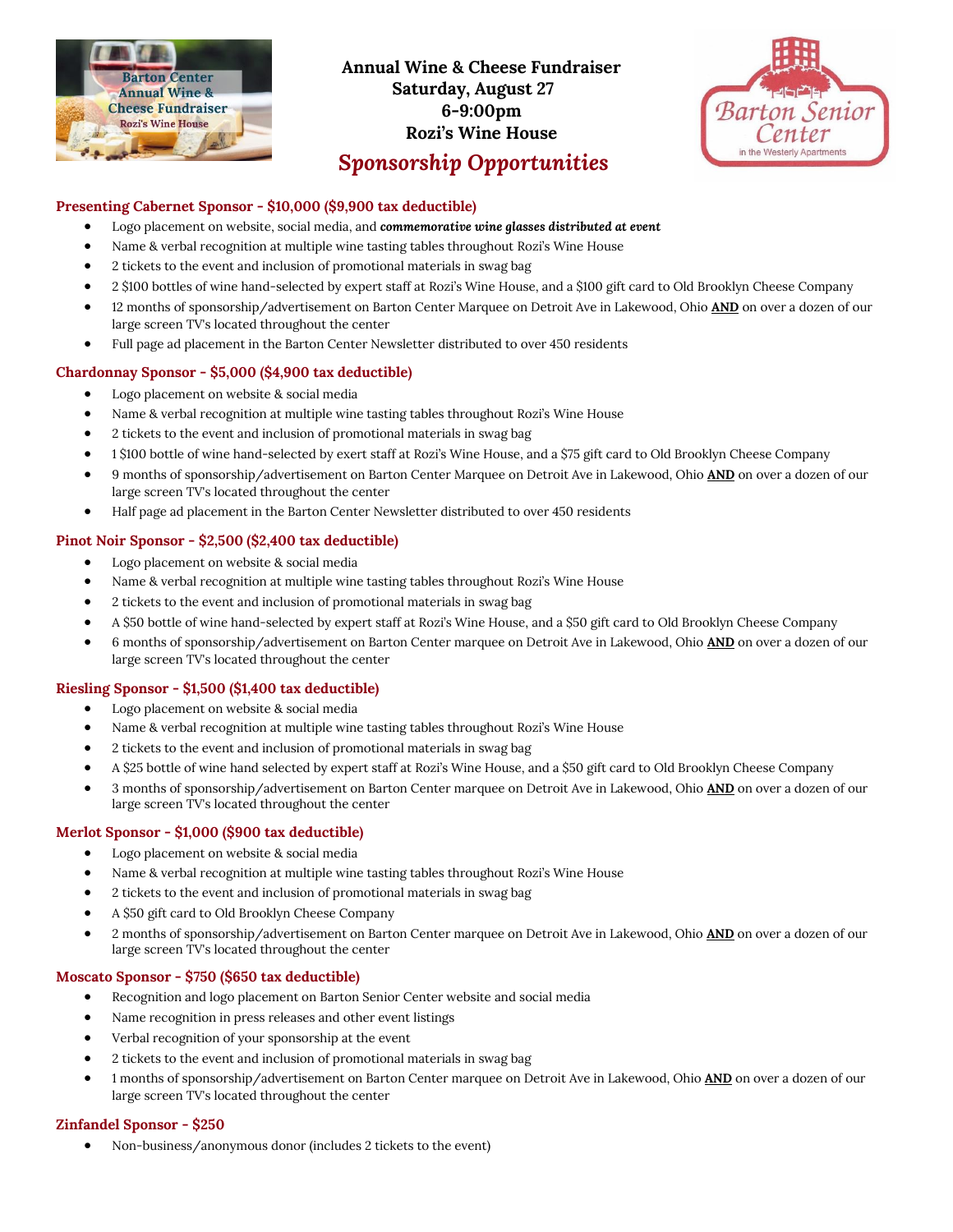

# **Annual Wine & Cheese Fundraiser Saturday, August 27 6-9:00pm Rozi's Wine House**



# *Sponsorship Opportunities*

# **Presenting Cabernet Sponsor - \$10,000 (\$9,900 tax deductible)**

- Logo placement on website, social media, and *commemorative wine glasses distributed at event*
- Name & verbal recognition at multiple wine tasting tables throughout Rozi's Wine House
- 2 tickets to the event and inclusion of promotional materials in swag bag
- 2 \$100 bottles of wine hand-selected by expert staff at Rozi's Wine House, and a \$100 gift card to Old Brooklyn Cheese Company
- 12 months of sponsorship/advertisement on Barton Center Marquee on Detroit Ave in Lakewood, Ohio **AND** on over a dozen of our large screen TV's located throughout the center
- Full page ad placement in the Barton Center Newsletter distributed to over 450 residents

# **Chardonnay Sponsor - \$5,000 (\$4,900 tax deductible)**

- Logo placement on website & social media
- Name & verbal recognition at multiple wine tasting tables throughout Rozi's Wine House
- 2 tickets to the event and inclusion of promotional materials in swag bag
- 1 \$100 bottle of wine hand-selected by exert staff at Rozi's Wine House, and a \$75 gift card to Old Brooklyn Cheese Company
- 9 months of sponsorship/advertisement on Barton Center Marquee on Detroit Ave in Lakewood, Ohio **AND** on over a dozen of our large screen TV's located throughout the center
- Half page ad placement in the Barton Center Newsletter distributed to over 450 residents

# **Pinot Noir Sponsor - \$2,500 (\$2,400 tax deductible)**

- Logo placement on website & social media
- Name & verbal recognition at multiple wine tasting tables throughout Rozi's Wine House
- 2 tickets to the event and inclusion of promotional materials in swag bag
- A \$50 bottle of wine hand-selected by expert staff at Rozi's Wine House, and a \$50 gift card to Old Brooklyn Cheese Company
- 6 months of sponsorship/advertisement on Barton Center marquee on Detroit Ave in Lakewood, Ohio **AND** on over a dozen of our large screen TV's located throughout the center

### **Riesling Sponsor - \$1,500 (\$1,400 tax deductible)**

- Logo placement on website & social media
- Name & verbal recognition at multiple wine tasting tables throughout Rozi's Wine House
- 2 tickets to the event and inclusion of promotional materials in swag bag
- A \$25 bottle of wine hand selected by expert staff at Rozi's Wine House, and a \$50 gift card to Old Brooklyn Cheese Company
- 3 months of sponsorship/advertisement on Barton Center marquee on Detroit Ave in Lakewood, Ohio **AND** on over a dozen of our large screen TV's located throughout the center

### **Merlot Sponsor - \$1,000 (\$900 tax deductible)**

- Logo placement on website & social media
- Name & verbal recognition at multiple wine tasting tables throughout Rozi's Wine House
- 2 tickets to the event and inclusion of promotional materials in swag bag
- A \$50 gift card to Old Brooklyn Cheese Company
- 2 months of sponsorship/advertisement on Barton Center marquee on Detroit Ave in Lakewood, Ohio **AND** on over a dozen of our large screen TV's located throughout the center

### **Moscato Sponsor - \$750 (\$650 tax deductible)**

- Recognition and logo placement on Barton Senior Center website and social media
- Name recognition in press releases and other event listings
- Verbal recognition of your sponsorship at the event
- 2 tickets to the event and inclusion of promotional materials in swag bag
- 1 months of sponsorship/advertisement on Barton Center marquee on Detroit Ave in Lakewood, Ohio **AND** on over a dozen of our large screen TV's located throughout the center

### **Zinfandel Sponsor - \$250**

• Non-business/anonymous donor (includes 2 tickets to the event)